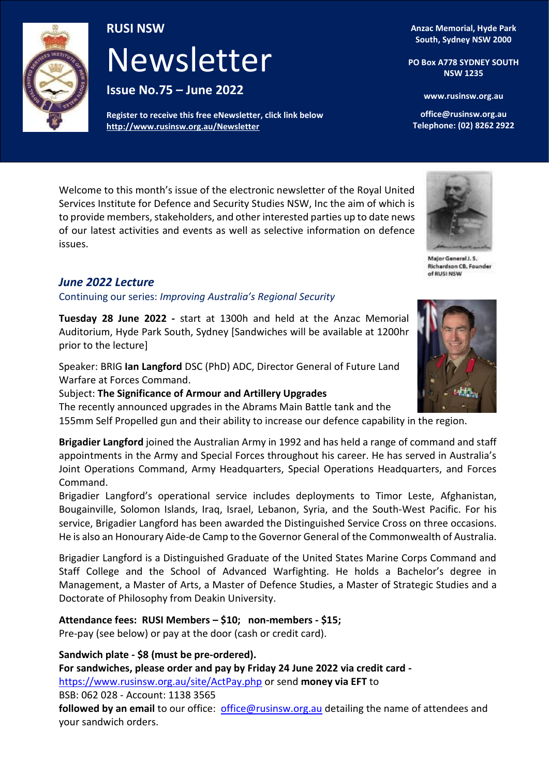

# **RUSI NSW**

# **Newsletter** Newsletter

**Issue No 10 - May 2015 Issue No.75 – June 2022** 

**Register to receive this free eNewsletter, click link below <http://www.rusinsw.org.au/Newsletter>**

**Anzac Memorial, Hyde Park South, Sydney NSW 2000**

**PO Box A778 SYDNEY SOUTH NSW 1235**

**www.rusinsw.org.au** 

**office@rusinsw.org.au Telephone: (02) 8262 2922**

Welcome to this month's issue of the electronic newsletter of the Royal United Services Institute for Defence and Security Studies NSW, Inc the aim of which is to provide members, stakeholders, and other interested parties up to date news of our latest activities and events as well as selective information on defence issues.



Major General J.S. Richardson CB, Founder of RUSI NSW

# *June 2022 Lecture*

Continuing our series: *Improving Australia's Regional Security*

**Tuesday 28 June 2022 -** start at 1300h and held at the Anzac Memorial Auditorium, Hyde Park South, Sydney [Sandwiches will be available at 1200hr prior to the lecture]

Speaker: BRIG **Ian Langford** DSC (PhD) ADC, Director General of Future Land Warfare at Forces Command.

Subject: **The Significance of Armour and Artillery Upgrades** 

The recently announced upgrades in the Abrams Main Battle tank and the

155mm Self Propelled gun and their ability to increase our defence capability in the region.

**Brigadier Langford** joined the Australian Army in 1992 and has held a range of command and staff appointments in the Army and Special Forces throughout his career. He has served in Australia's Joint Operations Command, Army Headquarters, Special Operations Headquarters, and Forces Command.

Brigadier Langford's operational service includes deployments to Timor Leste, Afghanistan, Bougainville, Solomon Islands, Iraq, Israel, Lebanon, Syria, and the South-West Pacific. For his service, Brigadier Langford has been awarded the Distinguished Service Cross on three occasions. He is also an Honourary Aide-de Camp to the Governor General of the Commonwealth of Australia.

Brigadier Langford is a Distinguished Graduate of the United States Marine Corps Command and Staff College and the School of Advanced Warfighting. He holds a Bachelor's degree in Management, a Master of Arts, a Master of Defence Studies, a Master of Strategic Studies and a Doctorate of Philosophy from Deakin University.

# **Attendance fees: RUSI Members – \$10; non-members - \$15;**

Pre-pay (see below) or pay at the door (cash or credit card).

**Sandwich plate - \$8 (must be pre-ordered).** 

**For sandwiches, please order and pay by Friday 24 June 2022 via credit card -**

<https://www.rusinsw.org.au/site/ActPay.php> or send **money via EFT** to

BSB: 062 028 - Account: 1138 3565

**followed by an email** to our office: [office@rusinsw.org.au](mailto:office@rusinsw.org.au) detailing the name of attendees and your sandwich orders.

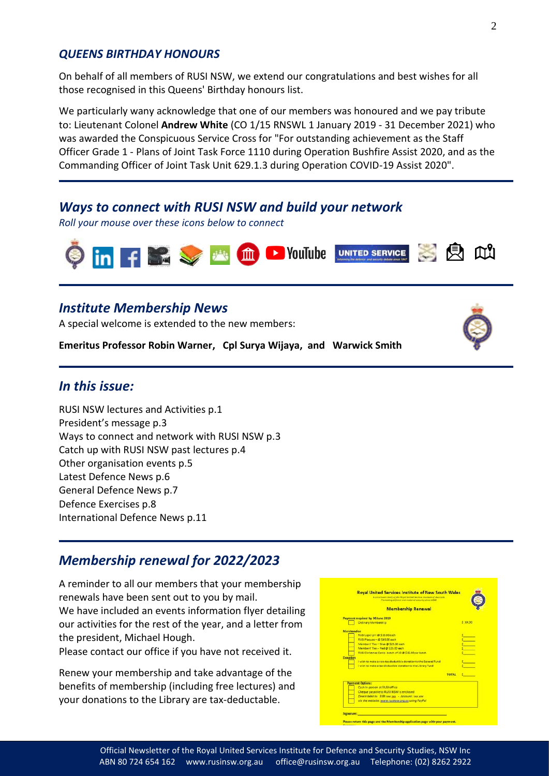#### *QUEENS BIRTHDAY HONOURS*

On behalf of all members of RUSI NSW, we extend our congratulations and best wishes for all those recognised in this Queens' Birthday honours list.

We particularly wany acknowledge that one of our members was honoured and we pay tribute to: Lieutenant Colonel **Andrew White** (CO 1/15 RNSWL 1 January 2019 - 31 December 2021) who was awarded the Conspicuous Service Cross for "For outstanding achievement as the Staff Officer Grade 1 - Plans of Joint Task Force 1110 during Operation Bushfire Assist 2020, and as the Commanding Officer of Joint Task Unit 629.1.3 during Operation COVID-19 Assist 2020".

# *Ways to connect with RUSI NSW and build your network*

*Roll your mouse over these icons below to connect*



# *Institute Membership News*

A special welcome is extended to the new members:

**Emeritus Professor Robin Warner, Cpl Surya Wijaya, and Warwick Smith**

# *In this issue:*

RUSI NSW lectures and Activities p.1 President's message p.3 Ways to connect and network with RUSI NSW p.3 Catch up with RUSI NSW past lectures p.4 Other organisation events p.5 Latest Defence News p.6 General Defence News p.7 Defence Exercises p.8 International Defence News p.11

# *Membership renewal for 2022/2023*

A reminder to all our members that your membership renewals have been sent out to you by mail. We have included an events information flyer detailing our activities for the rest of the year, and a letter from the president, Michael Hough.

Please contact our office if you have not received it.

Renew your membership and take advantage of the benefits of membership (including free lectures) and your donations to the Library are tax-deductable.



Official Newsletter of the Royal United Services Institute for Defence and Security Studies, NSW Inc ABN 80 724 654 162 www.rusinsw.org.au office@rusinsw.org.au Telephone: (02) 8262 2922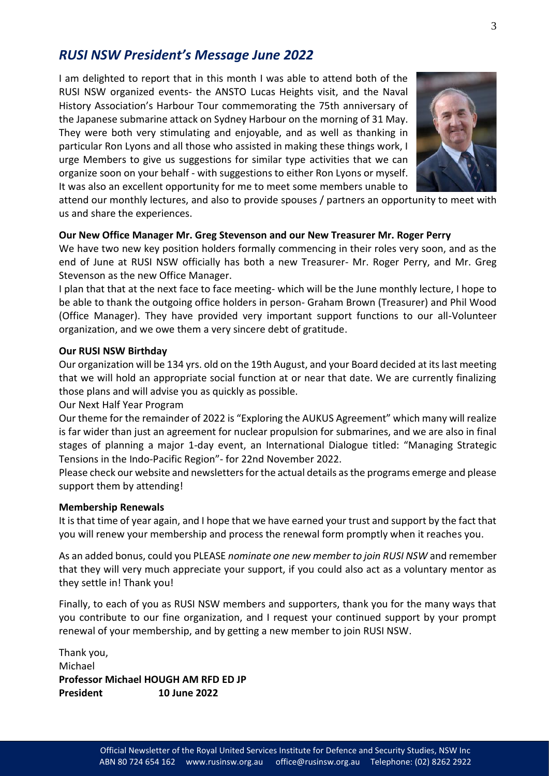# *RUSI NSW President's Message June 2022*

I am delighted to report that in this month I was able to attend both of the RUSI NSW organized events- the ANSTO Lucas Heights visit, and the Naval History Association's Harbour Tour commemorating the 75th anniversary of the Japanese submarine attack on Sydney Harbour on the morning of 31 May. They were both very stimulating and enjoyable, and as well as thanking in particular Ron Lyons and all those who assisted in making these things work, I urge Members to give us suggestions for similar type activities that we can organize soon on your behalf - with suggestions to either Ron Lyons or myself. It was also an excellent opportunity for me to meet some members unable to



attend our monthly lectures, and also to provide spouses / partners an opportunity to meet with us and share the experiences.

#### **Our New Office Manager Mr. Greg Stevenson and our New Treasurer Mr. Roger Perry**

We have two new key position holders formally commencing in their roles very soon, and as the end of June at RUSI NSW officially has both a new Treasurer- Mr. Roger Perry, and Mr. Greg Stevenson as the new Office Manager.

I plan that that at the next face to face meeting- which will be the June monthly lecture, I hope to be able to thank the outgoing office holders in person- Graham Brown (Treasurer) and Phil Wood (Office Manager). They have provided very important support functions to our all-Volunteer organization, and we owe them a very sincere debt of gratitude.

#### **Our RUSI NSW Birthday**

Our organization will be 134 yrs. old on the 19th August, and your Board decided at its last meeting that we will hold an appropriate social function at or near that date. We are currently finalizing those plans and will advise you as quickly as possible.

Our Next Half Year Program

Our theme for the remainder of 2022 is "Exploring the AUKUS Agreement" which many will realize is far wider than just an agreement for nuclear propulsion for submarines, and we are also in final stages of planning a major 1-day event, an International Dialogue titled: "Managing Strategic Tensions in the Indo-Pacific Region"- for 22nd November 2022.

Please check our website and newsletters for the actual details as the programs emerge and please support them by attending!

#### **Membership Renewals**

It is that time of year again, and I hope that we have earned your trust and support by the fact that you will renew your membership and process the renewal form promptly when it reaches you.

As an added bonus, could you PLEASE *nominate one new member to join RUSI NSW* and remember that they will very much appreciate your support, if you could also act as a voluntary mentor as they settle in! Thank you!

Finally, to each of you as RUSI NSW members and supporters, thank you for the many ways that you contribute to our fine organization, and I request your continued support by your prompt renewal of your membership, and by getting a new member to join RUSI NSW.

Thank you, Michael **Professor Michael HOUGH AM RFD ED JP President 10 June 2022**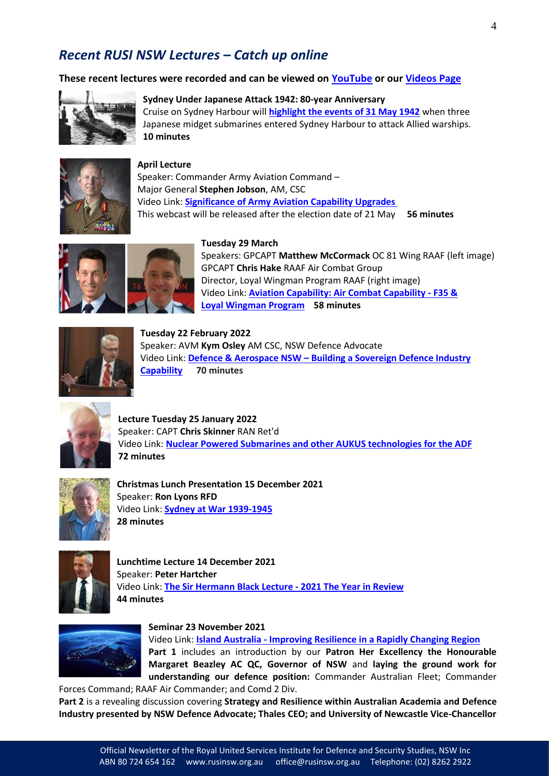# *Recent RUSI NSW Lectures – Catch up online*

#### **These recent lectures were recorded and can be viewed on [YouTube](https://www.youtube.com/channel/UCQ9ghBL_V9X5Cp4DLSTMfXw/videos) or our [Videos Page](http://www.rusinsw.org.au/site/Videos.php)**



**Sydney Under Japanese Attack 1942: 80-year Anniversary**  Cruise on Sydney Harbour will **[highlight the events of 31 May 1942](https://www.youtube.com/watch?v=jrfJJNLj4sc)** when three Japanese midget submarines entered Sydney Harbour to attack Allied warships. **10 minutes**

#### **April Lecture**

Speaker: Commander Army Aviation Command – Major General **Stephen Jobson**, AM, CSC Video Link: **Significance of [Army Aviation Capability](https://www.youtube.com/watch?v=rANJku0c3nU) Upgrades** This webcast will be released after the election date of 21 May **56 minutes**



#### **Tuesday 29 March**

Speakers: GPCAPT **Matthew McCormack** OC 81 Wing RAAF (left image) GPCAPT **Chris Hake** RAAF Air Combat Group Director, Loyal Wingman Program RAAF (right image) Video Link: **[Aviation Capability: Air Combat Capability -](https://www.youtube.com/watch?v=jE8s9NoU5sk) F35 & Loyal [Wingman Program](https://www.youtube.com/watch?v=jE8s9NoU5sk) 58 minutes**



**Tuesday 22 February 2022**  Speaker: AVM **Kym Osley** AM CSC, NSW Defence Advocate Video Link: **Defence & Aerospace NSW – [Building a Sovereign Defence Industry](https://www.youtube.com/watch?v=fi6KGizqQQc&t=39s)  [Capability](https://www.youtube.com/watch?v=fi6KGizqQQc&t=39s) 70 minutes** 



**Lecture Tuesday 25 January 2022** Speaker: CAPT **Chris Skinner** RAN Ret'd Video Link: **[Nuclear Powered Submarines and other AUKUS technologies for the ADF](https://www.rusinsw.org.au/site/VideoTheatre51.php) 72 minutes**



**Christmas Lunch Presentation 15 December 2021** Speaker: **Ron Lyons RFD** Video Link: **[Sydney at War 1939-1945](https://www.rusinsw.org.au/site/VideoTheatre50.php) 28 minutes** 



**Lunchtime Lecture 14 December 2021** Speaker: **Peter Hartcher** Video Link: **The Sir Hermann Black Lecture - [2021 The Year in Review](https://www.rusinsw.org.au/site/VideoTheatre49.php) 44 minutes** 



#### **Seminar 23 November 2021**

Video Link: **Island Australia - [Improving Resilience in a Rapidly Changing Region](https://www.rusinsw.org.au/site/VideoTheatre48.php) Part 1** includes an introduction by our **Patron Her Excellency the Honourable Margaret Beazley AC QC, Governor of NSW** and **laying the ground work for understanding our defence position:** Commander Australian Fleet; Commander

Forces Command; RAAF Air Commander; and Comd 2 Div. **Part 2** is a revealing discussion covering **Strategy and Resilience within Australian Academia and Defence Industry presented by NSW Defence Advocate; Thales CEO; and University of Newcastle Vice-Chancellor**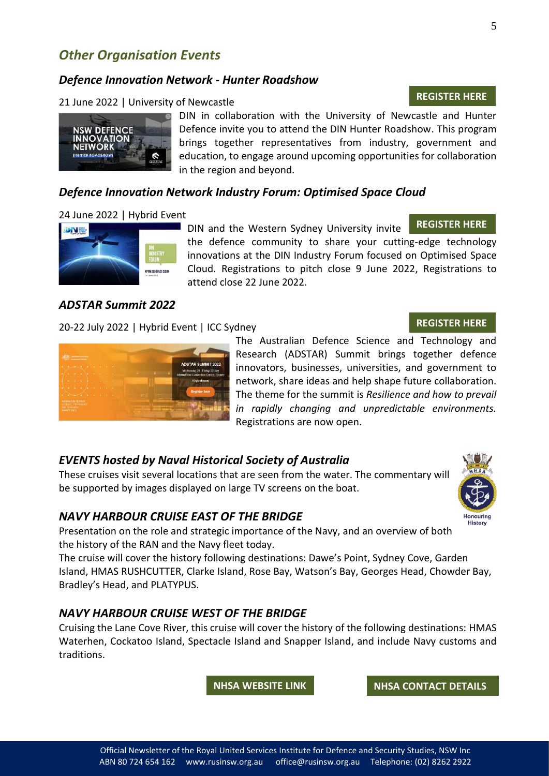*Defence Innovation Network - Hunter Roadshow*

DIN in collaboration with the University of Newcastle and Hunter Defence invite you to attend the DIN Hunter Roadshow. This program brings together representatives from industry, government and education, to engage around upcoming opportunities for collaboration in the region and beyond.

# *Defence Innovation Network Industry Forum: Optimised Space Cloud*

# 24 June 2022 | Hybrid Event

**DNE** 

DIN and the Western Sydney University invite the defence community to share your cutting-edge technology innovations at the DIN Industry Forum focused on Optimised Space Cloud. Registrations to pitch close 9 June 2022, Registrations to attend close 22 June 2022.

# *ADSTAR Summit 2022*

20-22 July 2022 | Hybrid Event | ICC Sydney

I PRIMISED SPACE CLOUD

The Australian Defence Science and Technology and Research (ADSTAR) Summit brings together defence innovators, businesses, universities, and government to network, share ideas and help shape future collaboration. The theme for the summit is *Resilience and how to prevail in rapidly changing and unpredictable environments.*  Registrations are now open.

# *EVENTS hosted by Naval Historical Society of Australia*

These cruises visit several locations that are seen from the water. The commentary will be supported by images displayed on large TV screens on the boat.

# *NAVY HARBOUR CRUISE EAST OF THE BRIDGE*

Presentation on the role and strategic importance of the Navy, and an overview of both the history of the RAN and the Navy fleet today.

The cruise will cover the history following destinations: Dawe's Point, Sydney Cove, Garden Island, HMAS RUSHCUTTER, Clarke Island, Rose Bay, Watson's Bay, Georges Head, Chowder Bay, Bradley's Head, and PLATYPUS.

# *NAVY HARBOUR CRUISE WEST OF THE BRIDGE*

Cruising the Lane Cove River, this cruise will cover the history of the following destinations: HMAS Waterhen, Cockatoo Island, Spectacle Island and Snapper Island, and include Navy customs and traditions.

**[NHSA WEBSITE LINK](https://www.navyhistory.org.au) [NHSA CONTACT DETAILS](https://www.navyhistory.org.au/contact-us/)** 

# *Other Organisation Events*

Official Newsletter of the Royal United Services Institute for Defence and Security Studies, NSW Inc ABN 80 724 654 162 www.rusinsw.org.au office@rusinsw.org.au Telephone: (02) 8262 2922









5

# **[REGISTER HERE](https://defenceinnovationnetwork.us18.list-manage.com/track/click?u=ba1b0b24663131737549e22fd&id=5942f13972&e=ade075c5a4)**

**[REGISTER HERE](https://defenceinnovationnetwork.us18.list-manage.com/track/click?u=ba1b0b24663131737549e22fd&id=814140e539&e=ade075c5a4)**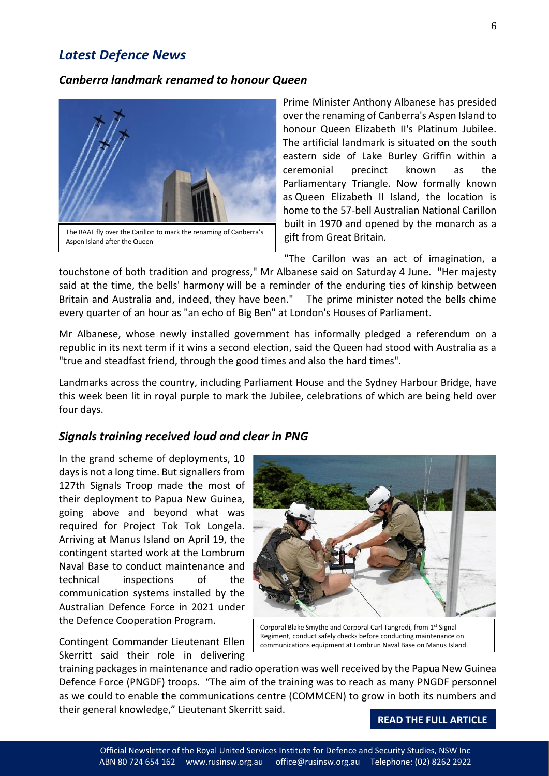# *Latest Defence News*

#### *Canberra landmark renamed to honour Queen*



The RAAF fly over the Carillon to mark the renaming of Canberra's Aspen Island after the Queen

Prime Minister Anthony Albanese has presided over the renaming of Canberra's Aspen Island to honour Queen Elizabeth II's Platinum Jubilee. The artificial landmark is situated on the south eastern side of Lake Burley Griffin within a ceremonial precinct known as the Parliamentary Triangle. Now formally known as Queen Elizabeth II Island, the location is home to the 57-bell Australian National Carillon built in 1970 and opened by the monarch as a gift from Great Britain.

"The Carillon was an act of imagination, a

touchstone of both tradition and progress," Mr Albanese said on Saturday 4 June. "Her majesty said at the time, the bells' harmony will be a reminder of the enduring ties of kinship between Britain and Australia and, indeed, they have been." The prime minister noted the bells chime every quarter of an hour as "an echo of Big Ben" at London's Houses of Parliament.

Mr Albanese, whose newly installed government has informally pledged a referendum on a republic in its next term if it wins a second election, said the Queen had stood with Australia as a "true and steadfast friend, through the good times and also the hard times".

Landmarks across the country, including Parliament House and the Sydney Harbour Bridge, have this week been lit in royal purple to mark the Jubilee, celebrations of which are being held over four days.

#### *Signals training received loud and clear in PNG*

In the grand scheme of deployments, 10 days is not a long time. But signallers from 127th Signals Troop made the most of their deployment to Papua New Guinea, going above and beyond what was required for Project Tok Tok Longela. Arriving at Manus Island on April 19, the contingent started work at the Lombrum Naval Base to conduct maintenance and technical inspections of the communication systems installed by the Australian Defence Force in 2021 under the Defence Cooperation Program.

Contingent Commander Lieutenant Ellen Skerritt said their role in delivering



Corporal Blake Smythe and Corporal Carl Tangredi, from 1st Signal Regiment, conduct safely checks before conducting maintenance on communications equipment at Lombrun Naval Base on Manus Island.

training packages in maintenance and radio operation was well received by the Papua New Guinea Defence Force (PNGDF) troops. "The aim of the training was to reach as many PNGDF personnel as we could to enable the communications centre (COMMCEN) to grow in both its numbers and their general knowledge," Lieutenant Skerritt said.

#### **[READ THE FULL ARTICLE](https://news.defence.gov.au/international/signals-training-received-loud-and-clear-png)**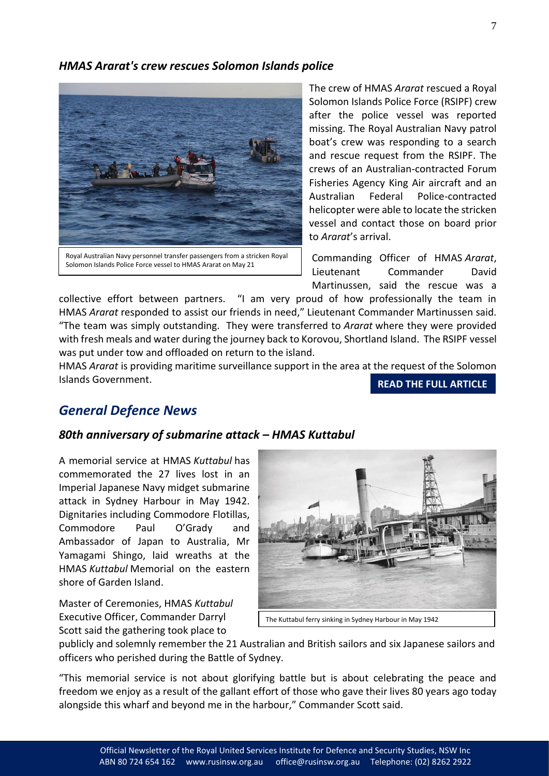#### *HMAS Ararat's crew rescues Solomon Islands police*



The crew of HMAS *Ararat* rescued a Royal Solomon Islands Police Force (RSIPF) crew after the police vessel was reported missing. The Royal Australian Navy patrol boat's crew was responding to a search and rescue request from the RSIPF. The crews of an Australian-contracted Forum Fisheries Agency King Air aircraft and an Australian Federal Police-contracted helicopter were able to locate the stricken vessel and contact those on board prior to *Ararat*'s arrival.

Commanding Officer of HMAS *Ararat*, Lieutenant Commander David Martinussen, said the rescue was a

collective effort between partners. "I am very proud of how professionally the team in HMAS *Ararat* responded to assist our friends in need," Lieutenant Commander Martinussen said. "The team was simply outstanding. They were transferred to *Ararat* where they were provided with fresh meals and water during the journey back to Korovou, Shortland Island. The RSIPF vessel was put under tow and offloaded on return to the island.

HMAS *Ararat* is providing maritime surveillance support in the area at the request of the Solomon Islands Government.

**[READ THE FULL ARTICLE](https://news.defence.gov.au/international/hmas-ararats-crew-rescues-solomon-islands-police)** 

# *General Defence News*

#### *80th anniversary of submarine attack – HMAS Kuttabul*

A memorial service at HMAS *Kuttabul* has commemorated the 27 lives lost in an Imperial Japanese Navy midget submarine attack in Sydney Harbour in May 1942. Dignitaries including Commodore Flotillas, Commodore Paul O'Grady and Ambassador of Japan to Australia, Mr Yamagami Shingo, laid wreaths at the HMAS *Kuttabul* Memorial on the eastern shore of Garden Island.

Master of Ceremonies, HMAS *Kuttabul* Executive Officer, Commander Darryl Scott said the gathering took place to



The Kuttabul ferry sinking in Sydney Harbour in May 1942

publicly and solemnly remember the 21 Australian and British sailors and six Japanese sailors and officers who perished during the Battle of Sydney.

"This memorial service is not about glorifying battle but is about celebrating the peace and freedom we enjoy as a result of the gallant effort of those who gave their lives 80 years ago today alongside this wharf and beyond me in the harbour," Commander Scott said.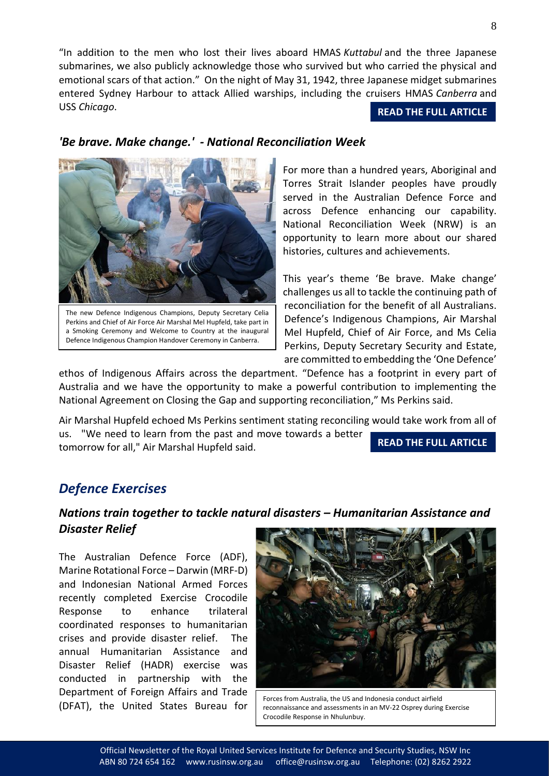"In addition to the men who lost their lives aboard HMAS *Kuttabul* and the three Japanese submarines, we also publicly acknowledge those who survived but who carried the physical and emotional scars of that action." On the night of May 31, 1942, three Japanese midget submarines entered Sydney Harbour to attack Allied warships, including the cruisers HMAS *Canberra* and USS *Chicago*.

#### **[READ THE FULL ARTICLE](https://news.defence.gov.au/national/80th-anniversary-submarine-attack)**



*'Be brave. Make change.' - National Reconciliation Week* 

The new Defence Indigenous Champions, Deputy Secretary Celia Perkins and Chief of Air Force Air Marshal Mel Hupfeld, take part in a Smoking Ceremony and Welcome to Country at the inaugural Defence Indigenous Champion Handover Ceremony in Canberra.

For more than a hundred years, Aboriginal and Torres Strait Islander peoples have proudly served in the Australian Defence Force and across Defence enhancing our capability. National Reconciliation Week (NRW) is an opportunity to learn more about our shared histories, cultures and achievements.

This year's theme 'Be brave. Make change' challenges us all to tackle the continuing path of reconciliation for the benefit of all Australians. Defence's Indigenous Champions, Air Marshal Mel Hupfeld, Chief of Air Force, and Ms Celia Perkins, Deputy Secretary Security and Estate, are committed to embedding the 'One Defence'

ethos of Indigenous Affairs across the department. "Defence has a footprint in every part of Australia and we have the opportunity to make a powerful contribution to implementing the National Agreement on Closing the Gap and supporting reconciliation," Ms Perkins said.

Air Marshal Hupfeld echoed Ms Perkins sentiment stating reconciling would take work from all of us. "We need to learn from the past and move towards a better tomorrow for all," Air Marshal Hupfeld said. **[READ THE FULL ARTICLE](https://news.defence.gov.au/national/be-brave-make-change)** 

# *Defence Exercises*

# *Nations train together to tackle natural disasters – Humanitarian Assistance and Disaster Relief*

The Australian Defence Force (ADF), Marine Rotational Force – Darwin (MRF-D) and Indonesian National Armed Forces recently completed Exercise Crocodile Response to enhance trilateral coordinated responses to humanitarian crises and provide disaster relief. The annual Humanitarian Assistance and Disaster Relief (HADR) exercise was conducted in partnership with the Department of Foreign Affairs and Trade (DFAT), the United States Bureau for



Forces from Australia, the US and Indonesia conduct airfield reconnaissance and assessments in an MV-22 Osprey during Exercise Crocodile Response in Nhulunbuy.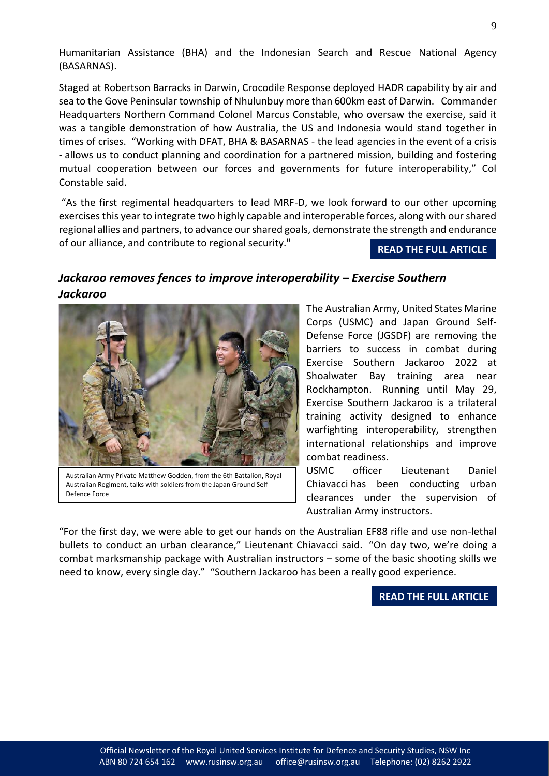Humanitarian Assistance (BHA) and the Indonesian Search and Rescue National Agency (BASARNAS).

Staged at Robertson Barracks in Darwin, Crocodile Response deployed HADR capability by air and sea to the Gove Peninsular township of Nhulunbuy more than 600km east of Darwin. Commander Headquarters Northern Command Colonel Marcus Constable, who oversaw the exercise, said it was a tangible demonstration of how Australia, the US and Indonesia would stand together in times of crises. "Working with DFAT, BHA & BASARNAS - the lead agencies in the event of a crisis - allows us to conduct planning and coordination for a partnered mission, building and fostering mutual cooperation between our forces and governments for future interoperability," Col Constable said.

"As the first regimental headquarters to lead MRF-D, we look forward to our other upcoming exercises this year to integrate two highly capable and interoperable forces, along with our shared regional allies and partners, to advance our shared goals, demonstrate the strength and endurance of our alliance, and contribute to regional security."

#### **[READ THE FULL ARTICLE](https://news.defence.gov.au/international/nations-train-together-tackle-natural-disasters)**

# *Jackaroo removes fences to improve interoperability – Exercise Southern Jackaroo*



Australian Army Private Matthew Godden, from the 6th Battalion, Royal Australian Regiment, talks with soldiers from the Japan Ground Self Defence Force

The Australian Army, United States Marine Corps (USMC) and Japan Ground Self-Defense Force (JGSDF) are removing the barriers to success in combat during Exercise Southern Jackaroo 2022 at Shoalwater Bay training area near Rockhampton. Running until May 29, Exercise Southern Jackaroo is a trilateral training activity designed to enhance warfighting interoperability, strengthen international relationships and improve combat readiness.

USMC officer Lieutenant Daniel Chiavacci has been conducting urban clearances under the supervision of Australian Army instructors.

"For the first day, we were able to get our hands on the Australian EF88 rifle and use non-lethal bullets to conduct an urban clearance," Lieutenant Chiavacci said. "On day two, we're doing a combat marksmanship package with Australian instructors – some of the basic shooting skills we need to know, every single day." "Southern Jackaroo has been a really good experience.

#### **[READ THE FULL ARTICLE](https://news.defence.gov.au/international/jackaroo-removes-fences-improve-interoperability)**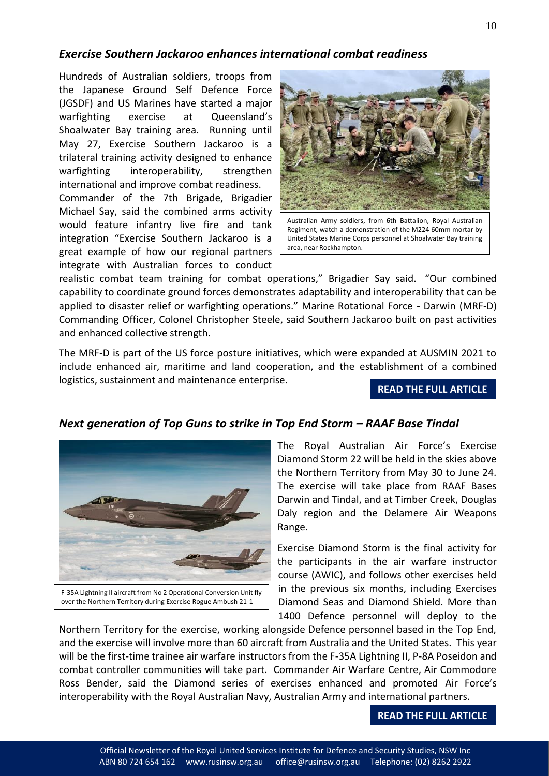### *Exercise Southern Jackaroo enhances international combat readiness*

Hundreds of Australian soldiers, troops from the Japanese Ground Self Defence Force (JGSDF) and US Marines have started a major warfighting exercise at Queensland's Shoalwater Bay training area. Running until May 27, Exercise Southern Jackaroo is a trilateral training activity designed to enhance warfighting interoperability, strengthen international and improve combat readiness.

Commander of the 7th Brigade, Brigadier Michael Say, said the combined arms activity would feature infantry live fire and tank integration "Exercise Southern Jackaroo is a great example of how our regional partners integrate with Australian forces to conduct



Regiment, watch a demonstration of the M224 60mm mortar by United States Marine Corps personnel at Shoalwater Bay training area, near Rockhampton.

realistic combat team training for combat operations," Brigadier Say said. "Our combined capability to coordinate ground forces demonstrates adaptability and interoperability that can be applied to disaster relief or warfighting operations." Marine Rotational Force - Darwin (MRF-D) Commanding Officer, Colonel Christopher Steele, said Southern Jackaroo built on past activities and enhanced collective strength.

The MRF-D is part of the US force posture initiatives, which were expanded at AUSMIN 2021 to include enhanced air, maritime and land cooperation, and the establishment of a combined logistics, sustainment and maintenance enterprise.

**[READ THE FULL ARTICLE](https://news.defence.gov.au/international/exercise-southern-jackaroo-enhances-international-combat-readiness)** 

#### *Next generation of Top Guns to strike in Top End Storm – RAAF Base Tindal*



F-35A Lightning II aircraft from No 2 Operational Conversion Unit fly over the Northern Territory during Exercise Rogue Ambush 21-1

The Royal Australian Air Force's Exercise Diamond Storm 22 will be held in the skies above the Northern Territory from May 30 to June 24. The exercise will take place from RAAF Bases Darwin and Tindal, and at Timber Creek, Douglas Daly region and the Delamere Air Weapons Range.

Exercise Diamond Storm is the final activity for the participants in the air warfare instructor course (AWIC), and follows other exercises held in the previous six months, including Exercises Diamond Seas and Diamond Shield. More than 1400 Defence personnel will deploy to the

Northern Territory for the exercise, working alongside Defence personnel based in the Top End, and the exercise will involve more than 60 aircraft from Australia and the United States. This year will be the first-time trainee air warfare instructors from the F-35A Lightning II, P-8A Poseidon and combat controller communities will take part. Commander Air Warfare Centre, Air Commodore Ross Bender, said the Diamond series of exercises enhanced and promoted Air Force's interoperability with the Royal Australian Navy, Australian Army and international partners.

#### **[READ THE FULL ARTICLE](https://news.defence.gov.au/capability/next-generation-top-guns-strike-top-end-storm)**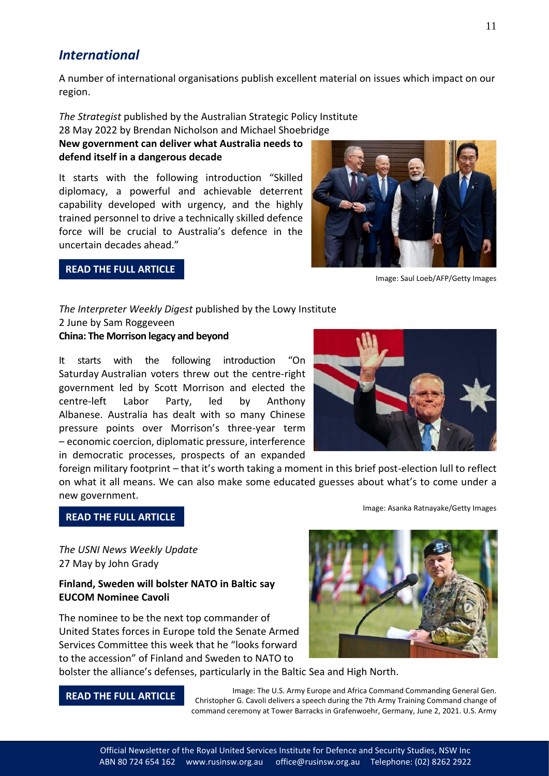# *International*

A number of international organisations publish excellent material on issues which impact on our region.

*The Strategist* published by the Australian Strategic Policy Institute 28 May 2022 by Brendan Nicholson and Michael Shoebridge

#### **New government can deliver what Australia needs to defend itself in a dangerous decade**

It starts with the following introduction "Skilled diplomacy, a powerful and achievable deterrent capability developed with urgency, and the highly trained personnel to drive a technically skilled defence force will be crucial to Australia's defence in the uncertain decades ahead."

#### **[READ THE FULL ARTICLE](https://www.aspistrategist.org.au/new-government-can-deliver-what-australia-needs-to-defend-itself-in-a-dangerous-decade/)**

### *The Interpreter Weekly Digest* published by the Lowy Institute 2 June by Sam Roggeveen **China: The Morrison legacy and beyond**

It starts with the following introduction "On Saturday Australian voters threw out the centre-right government led by Scott Morrison and elected the centre-left Labor Party, led by Anthony Albanese. Australia has dealt with so many Chinese pressure points over Morrison's three-year term – economic coercion, diplomatic pressure, interference in democratic processes, prospects of an expanded



foreign military footprint – that it's worth taking a moment in this brief post-election lull to reflect on what it all means. We can also make some educated guesses about what's to come under a new government.

#### **[READ THE FULL ARTICLE](https://www.lowyinstitute.org/the-interpreter/china-morrison-legacy-and-beyond)**

*The USNI News Weekly Update* 27 May by John Grady

#### **Finland, Sweden will bolster NATO in Baltic say EUCOM Nominee Cavoli**

The nominee to be the next top commander of United States forces in Europe told the Senate Armed Services Committee this week that he "looks forward to the accession" of Finland and Sweden to NATO to

bolster the alliance's defenses, particularly in the Baltic Sea and High North.

#### **[READ THE FULL ARTICLE](https://news.usni.org/2022/05/27/finland-sweden-will-bolster-nato-in-baltic-says-eucom-nominee-cavoli)**

Image: The U.S. Army Europe and Africa Command Commanding General Gen. Christopher G. Cavoli delivers a speech during the 7th Army Training Command change of command ceremony at Tower Barracks in Grafenwoehr, Germany, June 2, 2021. U.S. Army



Image: Asanka Ratnayake/Getty Images

Image: Saul Loeb/AFP/Getty Images